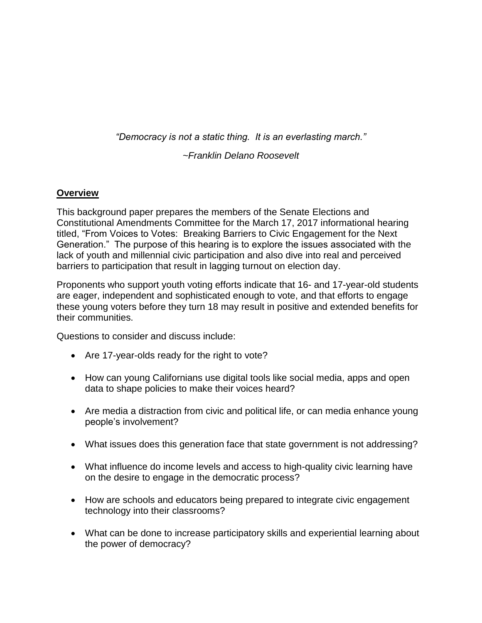*"Democracy is not a static thing. It is an everlasting march."* 

*~Franklin Delano Roosevelt*

## **Overview**

This background paper prepares the members of the Senate Elections and Constitutional Amendments Committee for the March 17, 2017 informational hearing titled, "From Voices to Votes: Breaking Barriers to Civic Engagement for the Next Generation." The purpose of this hearing is to explore the issues associated with the lack of youth and millennial civic participation and also dive into real and perceived barriers to participation that result in lagging turnout on election day.

Proponents who support youth voting efforts indicate that 16- and 17-year-old students are eager, independent and sophisticated enough to vote, and that efforts to engage these young voters before they turn 18 may result in positive and extended benefits for their communities.

Questions to consider and discuss include:

- Are 17-year-olds ready for the right to vote?
- How can young Californians use digital tools like social media, apps and open data to shape policies to make their voices heard?
- Are media a distraction from civic and political life, or can media enhance young people's involvement?
- What issues does this generation face that state government is not addressing?
- What influence do income levels and access to high-quality civic learning have on the desire to engage in the democratic process?
- How are schools and educators being prepared to integrate civic engagement technology into their classrooms?
- What can be done to increase participatory skills and experiential learning about the power of democracy?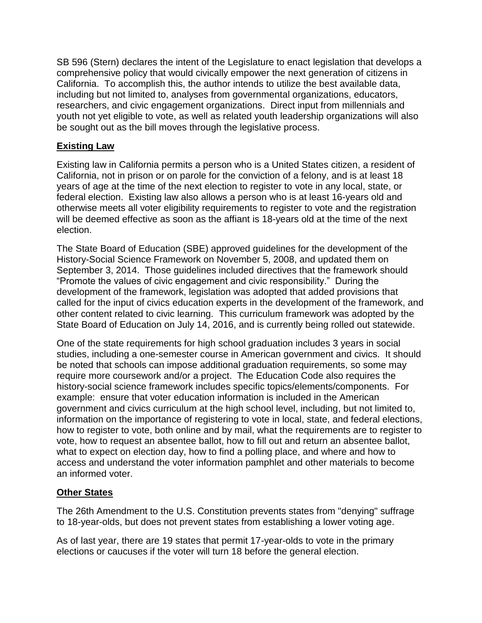SB 596 (Stern) declares the intent of the Legislature to enact legislation that develops a comprehensive policy that would civically empower the next generation of citizens in California. To accomplish this, the author intends to utilize the best available data, including but not limited to, analyses from governmental organizations, educators, researchers, and civic engagement organizations. Direct input from millennials and youth not yet eligible to vote, as well as related youth leadership organizations will also be sought out as the bill moves through the legislative process.

## **Existing Law**

Existing law in California permits a person who is a United States citizen, a resident of California, not in prison or on parole for the conviction of a felony, and is at least 18 years of age at the time of the next election to register to vote in any local, state, or federal election. Existing law also allows a person who is at least 16-years old and otherwise meets all voter eligibility requirements to register to vote and the registration will be deemed effective as soon as the affiant is 18-years old at the time of the next election.

The State Board of Education (SBE) approved guidelines for the development of the History-Social Science Framework on November 5, 2008, and updated them on September 3, 2014. Those guidelines included directives that the framework should "Promote the values of civic engagement and civic responsibility." During the development of the framework, legislation was adopted that added provisions that called for the input of civics education experts in the development of the framework, and other content related to civic learning. This curriculum framework was adopted by the State Board of Education on July 14, 2016, and is currently being rolled out statewide.

One of the state requirements for high school graduation includes 3 years in social studies, including a one-semester course in American government and civics. It should be noted that schools can impose additional graduation requirements, so some may require more coursework and/or a project. The Education Code also requires the history-social science framework includes specific topics/elements/components. For example: ensure that voter education information is included in the American government and civics curriculum at the high school level, including, but not limited to, information on the importance of registering to vote in local, state, and federal elections, how to register to vote, both online and by mail, what the requirements are to register to vote, how to request an absentee ballot, how to fill out and return an absentee ballot, what to expect on election day, how to find a polling place, and where and how to access and understand the voter information pamphlet and other materials to become an informed voter.

# **Other States**

The 26th Amendment to the U.S. Constitution prevents states from "denying" suffrage to 18-year-olds, but does not prevent states from establishing a lower voting age.

As of last year, there are 19 states that permit 17-year-olds to vote in the primary elections or caucuses if the voter will turn 18 before the general election.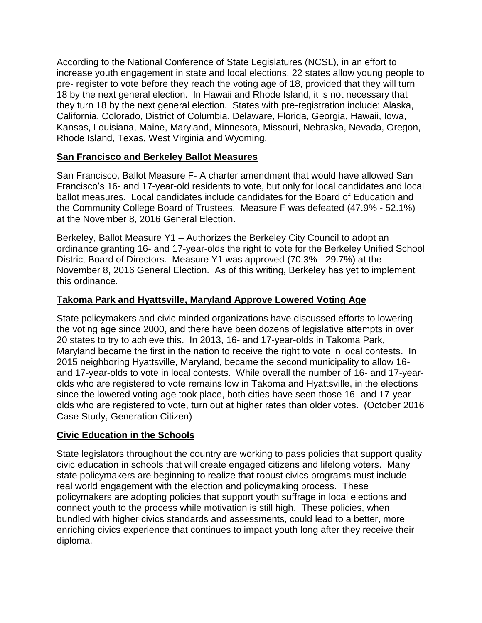According to the National Conference of State Legislatures (NCSL), in an effort to increase youth engagement in state and local elections, 22 states allow young people to pre- register to vote before they reach the voting age of 18, provided that they will turn 18 by the next general election. In Hawaii and Rhode Island, it is not necessary that they turn 18 by the next general election. States with pre-registration include: Alaska, California, Colorado, District of Columbia, Delaware, Florida, Georgia, Hawaii, Iowa, Kansas, Louisiana, Maine, Maryland, Minnesota, Missouri, Nebraska, Nevada, Oregon, Rhode Island, Texas, West Virginia and Wyoming.

### **San Francisco and Berkeley Ballot Measures**

San Francisco, Ballot Measure F- A charter amendment that would have allowed San Francisco's 16- and 17-year-old residents to vote, but only for local candidates and local ballot measures. Local candidates include candidates for the Board of Education and the Community College Board of Trustees. Measure F was defeated (47.9% - 52.1%) at the November 8, 2016 General Election.

Berkeley, Ballot Measure Y1 – Authorizes the Berkeley City Council to adopt an ordinance granting 16- and 17-year-olds the right to vote for the Berkeley Unified School District Board of Directors. Measure Y1 was approved (70.3% - 29.7%) at the November 8, 2016 General Election. As of this writing, Berkeley has yet to implement this ordinance.

## **Takoma Park and Hyattsville, Maryland Approve Lowered Voting Age**

State policymakers and civic minded organizations have discussed efforts to lowering the voting age since 2000, and there have been dozens of legislative attempts in over 20 states to try to achieve this. In 2013, 16- and 17-year-olds in Takoma Park, Maryland became the first in the nation to receive the right to vote in local contests. In 2015 neighboring Hyattsville, Maryland, became the second municipality to allow 16 and 17-year-olds to vote in local contests. While overall the number of 16- and 17-yearolds who are registered to vote remains low in Takoma and Hyattsville, in the elections since the lowered voting age took place, both cities have seen those 16- and 17-yearolds who are registered to vote, turn out at higher rates than older votes. (October 2016 Case Study, Generation Citizen)

# **Civic Education in the Schools**

State legislators throughout the country are working to pass policies that support quality civic education in schools that will create engaged citizens and lifelong voters. Many state policymakers are beginning to realize that robust civics programs must include real world engagement with the election and policymaking process. These policymakers are adopting policies that support youth suffrage in local elections and connect youth to the process while motivation is still high. These policies, when bundled with higher civics standards and assessments, could lead to a better, more enriching civics experience that continues to impact youth long after they receive their diploma.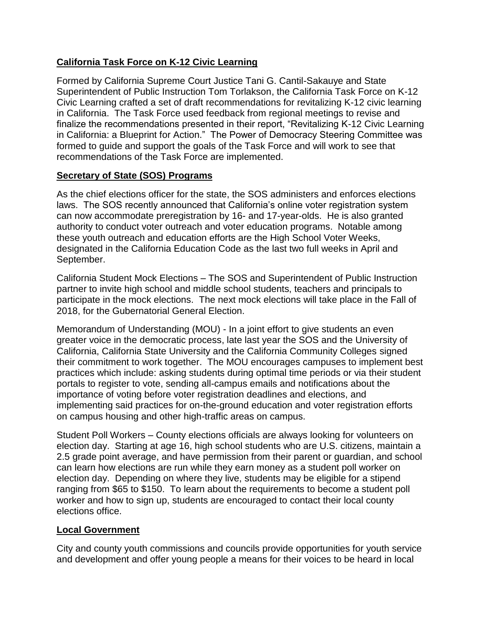# **California Task Force on K-12 Civic Learning**

Formed by California Supreme Court Justice Tani G. Cantil-Sakauye and State Superintendent of Public Instruction Tom Torlakson, the California Task Force on K-12 Civic Learning crafted a set of draft recommendations for revitalizing K-12 civic learning in California. The Task Force used feedback from regional meetings to revise and finalize the recommendations presented in their report, "Revitalizing K-12 Civic Learning in California: a Blueprint for Action." The Power of Democracy Steering Committee was formed to guide and support the goals of the Task Force and will work to see that recommendations of the Task Force are implemented.

# **Secretary of State (SOS) Programs**

As the chief elections officer for the state, the SOS administers and enforces elections laws. The SOS recently announced that California's online voter registration system can now accommodate preregistration by 16- and 17-year-olds. He is also granted authority to conduct voter outreach and voter education programs. Notable among these youth outreach and education efforts are the High School Voter Weeks, designated in the California Education Code as the last two full weeks in April and September.

California Student Mock Elections – The SOS and Superintendent of Public Instruction partner to invite high school and middle school students, teachers and principals to participate in the mock elections. The next mock elections will take place in the Fall of 2018, for the Gubernatorial General Election.

Memorandum of Understanding (MOU) - In a joint effort to give students an even greater voice in the democratic process, late last year the SOS and the University of California, California State University and the California Community Colleges signed their commitment to work together. The MOU encourages campuses to implement best practices which include: asking students during optimal time periods or via their student portals to register to vote, sending all-campus emails and notifications about the importance of voting before voter registration deadlines and elections, and implementing said practices for on-the-ground education and voter registration efforts on campus housing and other high-traffic areas on campus.

Student Poll Workers – County elections officials are always looking for volunteers on election day. Starting at age 16, high school students who are U.S. citizens, maintain a 2.5 grade point average, and have permission from their parent or guardian, and school can learn how elections are run while they earn money as a student poll worker on election day. Depending on where they live, students may be eligible for a stipend ranging from \$65 to \$150. To learn about the requirements to become a student poll worker and how to sign up, students are encouraged to contact their local county elections office.

# **Local Government**

City and county youth commissions and councils provide opportunities for youth service and development and offer young people a means for their voices to be heard in local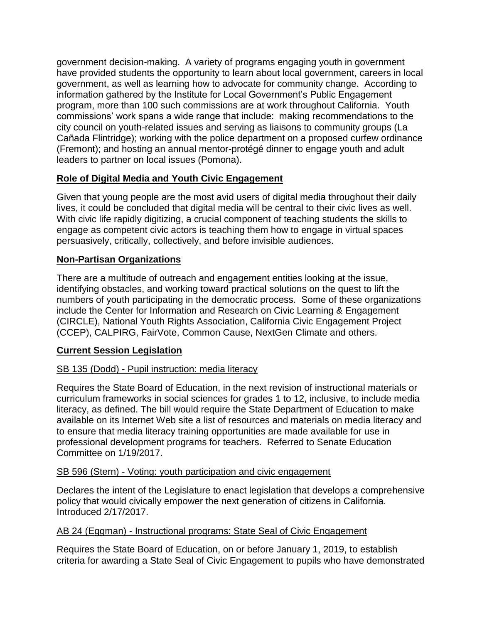government decision-making. A variety of programs engaging youth in government have provided students the opportunity to learn about local government, careers in local government, as well as learning how to advocate for community change. According to information gathered by the Institute for Local Government's Public Engagement program, more than 100 such commissions are at work throughout California. Youth commissions' work spans a wide range that include: making recommendations to the city council on youth-related issues and serving as liaisons to community groups (La Cañada Flintridge); working with the police department on a proposed curfew ordinance (Fremont); and hosting an annual mentor-protégé dinner to engage youth and adult leaders to partner on local issues (Pomona).

# **Role of Digital Media and Youth Civic Engagement**

Given that young people are the most avid users of digital media throughout their daily lives, it could be concluded that digital media will be central to their civic lives as well. With civic life rapidly digitizing, a crucial component of teaching students the skills to engage as competent civic actors is teaching them how to engage in virtual spaces persuasively, critically, collectively, and before invisible audiences.

# **Non-Partisan Organizations**

There are a multitude of outreach and engagement entities looking at the issue, identifying obstacles, and working toward practical solutions on the quest to lift the numbers of youth participating in the democratic process. Some of these organizations include the Center for Information and Research on Civic Learning & Engagement (CIRCLE), National Youth Rights Association, California Civic Engagement Project (CCEP), CALPIRG, FairVote, Common Cause, NextGen Climate and others.

# **Current Session Legislation**

# SB 135 (Dodd) - Pupil instruction: media literacy

Requires the State Board of Education, in the next revision of instructional materials or curriculum frameworks in social sciences for grades 1 to 12, inclusive, to include media literacy, as defined. The bill would require the State Department of Education to make available on its Internet Web site a list of resources and materials on media literacy and to ensure that media literacy training opportunities are made available for use in professional development programs for teachers. Referred to Senate Education Committee on 1/19/2017.

### SB 596 (Stern) - Voting: youth participation and civic engagement

Declares the intent of the Legislature to enact legislation that develops a comprehensive policy that would civically empower the next generation of citizens in California. Introduced 2/17/2017.

# AB 24 (Eggman) - Instructional programs: State Seal of Civic Engagement

Requires the State Board of Education, on or before January 1, 2019, to establish criteria for awarding a State Seal of Civic Engagement to pupils who have demonstrated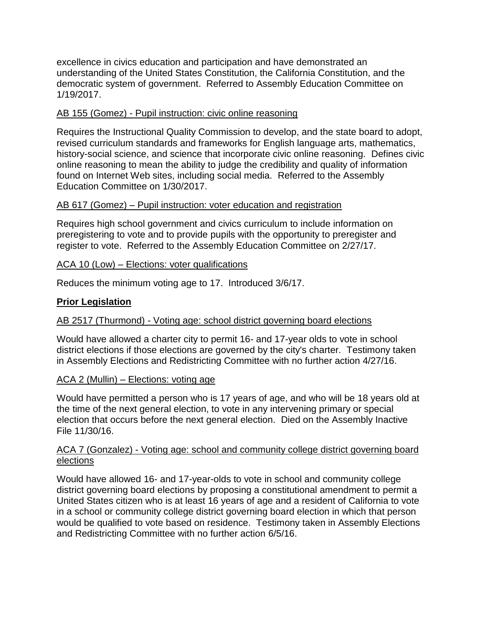excellence in civics education and participation and have demonstrated an understanding of the United States Constitution, the California Constitution, and the democratic system of government. Referred to Assembly Education Committee on 1/19/2017.

#### AB 155 (Gomez) - Pupil instruction: civic online reasoning

Requires the Instructional Quality Commission to develop, and the state board to adopt, revised curriculum standards and frameworks for English language arts, mathematics, history-social science, and science that incorporate civic online reasoning. Defines civic online reasoning to mean the ability to judge the credibility and quality of information found on Internet Web sites, including social media. Referred to the Assembly Education Committee on 1/30/2017.

#### AB 617 (Gomez) – Pupil instruction: voter education and registration

Requires high school government and civics curriculum to include information on preregistering to vote and to provide pupils with the opportunity to preregister and register to vote. Referred to the Assembly Education Committee on 2/27/17.

#### ACA 10 (Low) – Elections: voter qualifications

Reduces the minimum voting age to 17. Introduced 3/6/17.

### **Prior Legislation**

### AB 2517 (Thurmond) - Voting age: school district governing board elections

Would have allowed a charter city to permit 16- and 17-year olds to vote in school district elections if those elections are governed by the city's charter. Testimony taken in Assembly Elections and Redistricting Committee with no further action 4/27/16.

#### ACA 2 (Mullin) – Elections: voting age

Would have permitted a person who is 17 years of age, and who will be 18 years old at the time of the next general election, to vote in any intervening primary or special election that occurs before the next general election. Died on the Assembly Inactive File 11/30/16.

#### ACA 7 (Gonzalez) - Voting age: school and community college district governing board elections

Would have allowed 16- and 17-year-olds to vote in school and community college district governing board elections by proposing a constitutional amendment to permit a United States citizen who is at least 16 years of age and a resident of California to vote in a school or community college district governing board election in which that person would be qualified to vote based on residence. Testimony taken in Assembly Elections and Redistricting Committee with no further action 6/5/16.